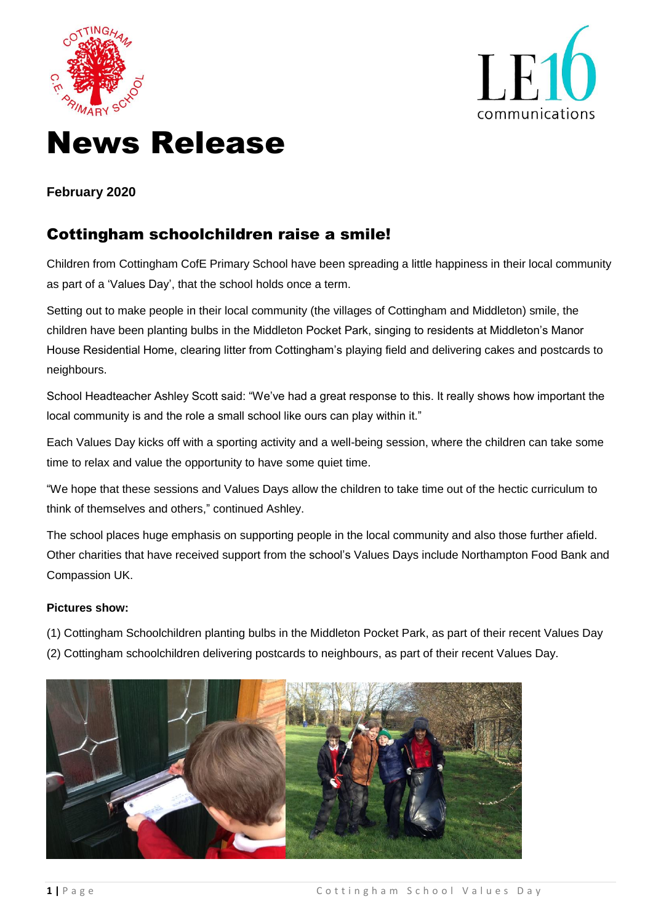



# News Release

### **February 2020**

## Cottingham schoolchildren raise a smile!

Children from Cottingham CofE Primary School have been spreading a little happiness in their local community as part of a 'Values Day', that the school holds once a term.

Setting out to make people in their local community (the villages of Cottingham and Middleton) smile, the children have been planting bulbs in the Middleton Pocket Park, singing to residents at Middleton's Manor House Residential Home, clearing litter from Cottingham's playing field and delivering cakes and postcards to neighbours.

School Headteacher Ashley Scott said: "We've had a great response to this. It really shows how important the local community is and the role a small school like ours can play within it."

Each Values Day kicks off with a sporting activity and a well-being session, where the children can take some time to relax and value the opportunity to have some quiet time.

"We hope that these sessions and Values Days allow the children to take time out of the hectic curriculum to think of themselves and others," continued Ashley.

The school places huge emphasis on supporting people in the local community and also those further afield. Other charities that have received support from the school's Values Days include Northampton Food Bank and Compassion UK.

#### **Pictures show:**

- (1) Cottingham Schoolchildren planting bulbs in the Middleton Pocket Park, as part of their recent Values Day
- (2) Cottingham schoolchildren delivering postcards to neighbours, as part of their recent Values Day.